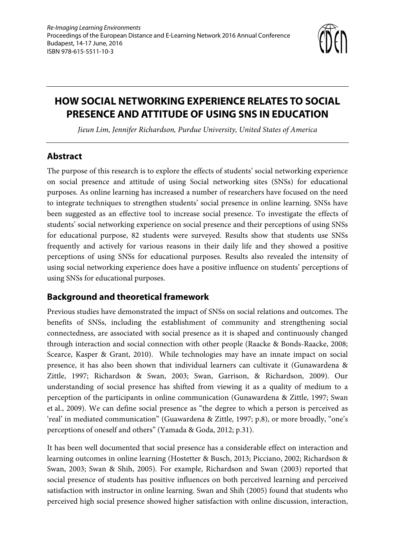

# **HOW SOCIAL NETWORKING EXPERIENCE RELATES TO SOCIAL PRESENCE AND ATTITUDE OF USING SNS IN EDUCATION**

*Jieun Lim, Jennifer Richardson, Purdue University, United States of America*

## **Abstract**

The purpose of this research is to explore the effects of students' social networking experience on social presence and attitude of using Social networking sites (SNSs) for educational purposes. As online learning has increased a number of researchers have focused on the need to integrate techniques to strengthen students' social presence in online learning. SNSs have been suggested as an effective tool to increase social presence. To investigate the effects of students' social networking experience on social presence and their perceptions of using SNSs for educational purpose, 82 students were surveyed. Results show that students use SNSs frequently and actively for various reasons in their daily life and they showed a positive perceptions of using SNSs for educational purposes. Results also revealed the intensity of using social networking experience does have a positive influence on students' perceptions of using SNSs for educational purposes.

## **Background and theoretical framework**

Previous studies have demonstrated the impact of SNSs on social relations and outcomes. The benefits of SNSs, including the establishment of community and strengthening social connectedness, are associated with social presence as it is shaped and continuously changed through interaction and social connection with other people (Raacke & Bonds-Raacke, 2008; Scearce, Kasper & Grant, 2010). While technologies may have an innate impact on social presence, it has also been shown that individual learners can cultivate it (Gunawardena & Zittle, 1997; Richardson & Swan, 2003; Swan, Garrison, & Richardson, 2009). Our understanding of social presence has shifted from viewing it as a quality of medium to a perception of the participants in online communication (Gunawardena & Zittle, 1997; Swan et al., 2009). We can define social presence as "the degree to which a person is perceived as 'real' in mediated communication" (Guawardena & Zittle, 1997; p.8), or more broadly, "one's perceptions of oneself and others" (Yamada & Goda, 2012; p.31).

It has been well documented that social presence has a considerable effect on interaction and learning outcomes in online learning (Hostetter & Busch, 2013; Picciano, 2002; Richardson & Swan, 2003; Swan & Shih, 2005). For example, Richardson and Swan (2003) reported that social presence of students has positive influences on both perceived learning and perceived satisfaction with instructor in online learning. Swan and Shih (2005) found that students who perceived high social presence showed higher satisfaction with online discussion, interaction,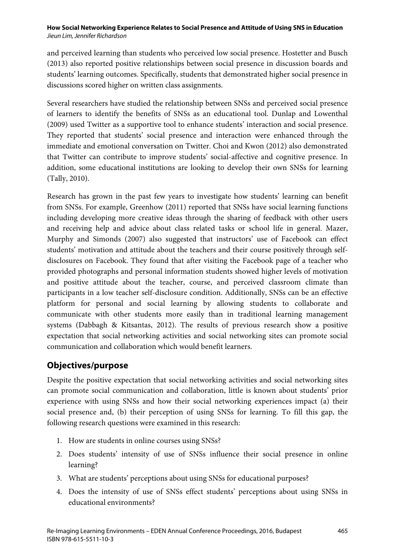and perceived learning than students who perceived low social presence. Hostetter and Busch (2013) also reported positive relationships between social presence in discussion boards and students' learning outcomes. Specifically, students that demonstrated higher social presence in discussions scored higher on written class assignments.

Several researchers have studied the relationship between SNSs and perceived social presence of learners to identify the benefits of SNSs as an educational tool. Dunlap and Lowenthal (2009) used Twitter as a supportive tool to enhance students' interaction and social presence. They reported that students' social presence and interaction were enhanced through the immediate and emotional conversation on Twitter. Choi and Kwon (2012) also demonstrated that Twitter can contribute to improve students' social-affective and cognitive presence. In addition, some educational institutions are looking to develop their own SNSs for learning (Tally, 2010).

Research has grown in the past few years to investigate how students' learning can benefit from SNSs. For example, Greenhow (2011) reported that SNSs have social learning functions including developing more creative ideas through the sharing of feedback with other users and receiving help and advice about class related tasks or school life in general. Mazer, Murphy and Simonds (2007) also suggested that instructors' use of Facebook can effect students' motivation and attitude about the teachers and their course positively through selfdisclosures on Facebook. They found that after visiting the Facebook page of a teacher who provided photographs and personal information students showed higher levels of motivation and positive attitude about the teacher, course, and perceived classroom climate than participants in a low teacher self-disclosure condition. Additionally, SNSs can be an effective platform for personal and social learning by allowing students to collaborate and communicate with other students more easily than in traditional learning management systems (Dabbagh & Kitsantas, 2012). The results of previous research show a positive expectation that social networking activities and social networking sites can promote social communication and collaboration which would benefit learners.

## **Objectives/purpose**

Despite the positive expectation that social networking activities and social networking sites can promote social communication and collaboration, little is known about students' prior experience with using SNSs and how their social networking experiences impact (a) their social presence and, (b) their perception of using SNSs for learning. To fill this gap, the following research questions were examined in this research:

- 1. How are students in online courses using SNSs?
- 2. Does students' intensity of use of SNSs influence their social presence in online learning?
- 3. What are students' perceptions about using SNSs for educational purposes?
- 4. Does the intensity of use of SNSs effect students' perceptions about using SNSs in educational environments?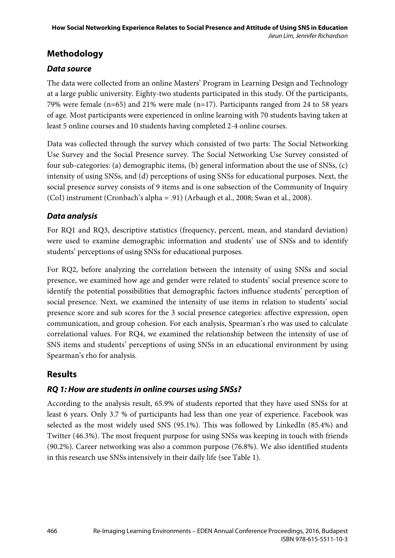## **Methodology**

### *Data source*

The data were collected from an online Masters' Program in Learning Design and Technology at a large public university. Eighty-two students participated in this study. Of the participants, 79% were female (n=65) and 21% were male (n=17). Participants ranged from 24 to 58 years of age. Most participants were experienced in online learning with 70 students having taken at least 5 online courses and 10 students having completed 2-4 online courses.

Data was collected through the survey which consisted of two parts: The Social Networking Use Survey and the Social Presence survey. The Social Networking Use Survey consisted of four sub-categories: (a) demographic items, (b) general information about the use of SNSs, (c) intensity of using SNSs, and (d) perceptions of using SNSs for educational purposes. Next, the social presence survey consists of 9 items and is one subsection of the Community of Inquiry (CoI) instrument (Cronbach's alpha = .91) (Arbaugh et al., 2008; Swan et al., 2008).

## *Data analysis*

For RQ1 and RQ3, descriptive statistics (frequency, percent, mean, and standard deviation) were used to examine demographic information and students' use of SNSs and to identify students' perceptions of using SNSs for educational purposes.

For RQ2, before analyzing the correlation between the intensity of using SNSs and social presence, we examined how age and gender were related to students' social presence score to identify the potential possibilities that demographic factors influence students' perception of social presence. Next, we examined the intensity of use items in relation to students' social presence score and sub scores for the 3 social presence categories: affective expression, open communication, and group cohesion. For each analysis, Spearman's rho was used to calculate correlational values. For RQ4, we examined the relationship between the intensity of use of SNS items and students' perceptions of using SNSs in an educational environment by using Spearman's rho for analysis.

## **Results**

## *RQ 1: How are students in online courses using SNSs?*

According to the analysis result, 65.9% of students reported that they have used SNSs for at least 6 years. Only 3.7 % of participants had less than one year of experience. Facebook was selected as the most widely used SNS (95.1%). This was followed by LinkedIn (85.4%) and Twitter (46.3%). The most frequent purpose for using SNSs was keeping in touch with friends (90.2%). Career networking was also a common purpose (76.8%). We also identified students in this research use SNSs intensively in their daily life (see Table 1).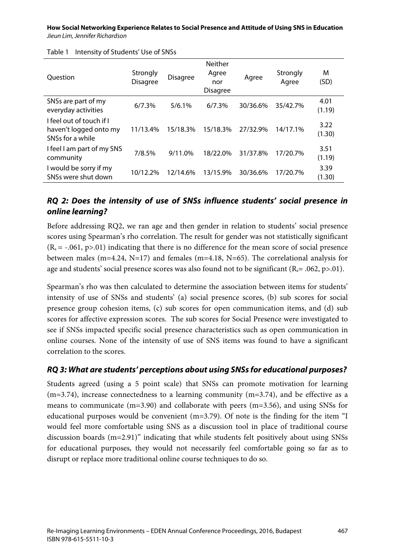| <b>Ouestion</b>                                                        | Strongly<br><b>Disagree</b> | <b>Disagree</b> | Neither<br>Agree<br>nor<br><b>Disagree</b> | Agree    | Strongly<br>Agree | M<br>(SD)      |
|------------------------------------------------------------------------|-----------------------------|-----------------|--------------------------------------------|----------|-------------------|----------------|
| SNSs are part of my<br>everyday activities                             | 6/7.3%                      | $5/6.1\%$       | 6/7.3%                                     | 30/36.6% | 35/42.7%          | 4.01<br>(1.19) |
| I feel out of touch if I<br>haven't logged onto my<br>SNSs for a while | 11/13.4%                    | 15/18.3%        | 15/18.3%                                   | 27/32.9% | 14/17.1%          | 3.22<br>(1.30) |
| I feel I am part of my SNS<br>community                                | 7/8.5%                      | $9/11.0\%$      | 18/22.0%                                   | 31/37.8% | 17/20.7%          | 3.51<br>(1.19) |
| I would be sorry if my<br>SNS <sub>s</sub> were shut down              | 10/12.2%                    | 12/14.6%        | 13/15.9%                                   | 30/36.6% | 17/20.7%          | 3.39<br>(1.30) |

Table 1 Intensity of Students' Use of SNSs

#### *RQ 2: Does the intensity of use of SNSs influence students' social presence in online learning?*

Before addressing RQ2, we ran age and then gender in relation to students' social presence scores using Spearman's rho correlation. The result for gender was not statistically significant  $(R_s = -.061, p > .01)$  indicating that there is no difference for the mean score of social presence between males (m=4.24, N=17) and females (m=4.18, N=65). The correlational analysis for age and students' social presence scores was also found not to be significant ( $R_s = .062$ , p>.01).

Spearman's rho was then calculated to determine the association between items for students' intensity of use of SNSs and students' (a) social presence scores, (b) sub scores for social presence group cohesion items, (c) sub scores for open communication items, and (d) sub scores for affective expression scores. The sub scores for Social Presence were investigated to see if SNSs impacted specific social presence characteristics such as open communication in online courses. None of the intensity of use of SNS items was found to have a significant correlation to the scores.

#### *RQ 3: What are students' perceptions about using SNSs for educational purposes?*

Students agreed (using a 5 point scale) that SNSs can promote motivation for learning  $(m=3.74)$ , increase connectedness to a learning community  $(m=3.74)$ , and be effective as a means to communicate (m=3.90) and collaborate with peers (m=3.56), and using SNSs for educational purposes would be convenient (m=3.79). Of note is the finding for the item "I would feel more comfortable using SNS as a discussion tool in place of traditional course discussion boards (m=2.91)" indicating that while students felt positively about using SNSs for educational purposes, they would not necessarily feel comfortable going so far as to disrupt or replace more traditional online course techniques to do so.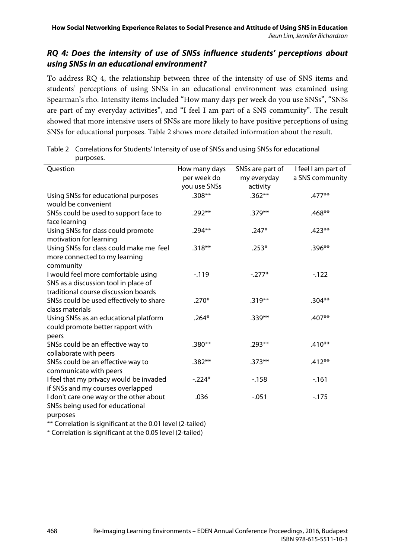#### *RQ 4: Does the intensity of use of SNSs influence students' perceptions about using SNSs in an educational environment?*

To address RQ 4, the relationship between three of the intensity of use of SNS items and students' perceptions of using SNSs in an educational environment was examined using Spearman's rho. Intensity items included "How many days per week do you use SNSs", "SNSs are part of my everyday activities", and "I feel I am part of a SNS community". The result showed that more intensive users of SNSs are more likely to have positive perceptions of using SNSs for educational purposes. Table 2 shows more detailed information about the result.

| Question                                                                                                            | How many days<br>per week do<br>you use SNSs | SNSs are part of<br>my everyday<br>activity | I feel I am part of<br>a SNS community |
|---------------------------------------------------------------------------------------------------------------------|----------------------------------------------|---------------------------------------------|----------------------------------------|
| Using SNSs for educational purposes<br>would be convenient                                                          | $.308**$                                     | $.362**$                                    | $.477**$                               |
| SNSs could be used to support face to<br>face learning                                                              | $.292**$                                     | $.379**$                                    | $.468**$                               |
| Using SNSs for class could promote<br>motivation for learning                                                       | .294**                                       | $.247*$                                     | $.423**$                               |
| Using SNSs for class could make me feel<br>more connected to my learning<br>community                               | $.318***$                                    | $.253*$                                     | $.396**$                               |
| I would feel more comfortable using<br>SNS as a discussion tool in place of<br>traditional course discussion boards | $-119$                                       | $-.277*$                                    | $-122$                                 |
| SNSs could be used effectively to share<br>class materials                                                          | $.270*$                                      | $.319***$                                   | $.304**$                               |
| Using SNSs as an educational platform<br>could promote better rapport with<br>peers                                 | $.264*$                                      | $.339**$                                    | .407**                                 |
| SNSs could be an effective way to<br>collaborate with peers                                                         | $.380**$                                     | $.293**$                                    | $.410**$                               |
| SNSs could be an effective way to<br>communicate with peers                                                         | $.382**$                                     | $.373**$                                    | $.412**$                               |
| I feel that my privacy would be invaded<br>if SNSs and my courses overlapped                                        | $-.224*$                                     | $-158$                                      | $-161$                                 |
| I don't care one way or the other about<br>SNSs being used for educational<br>purposes                              | .036                                         | $-0.051$                                    | $-175$                                 |

| Table 2 Correlations for Students' Intensity of use of SNSs and using SNSs for educational |
|--------------------------------------------------------------------------------------------|
| purposes.                                                                                  |

\*\* Correlation is significant at the 0.01 level (2-tailed)

\* Correlation is significant at the 0.05 level (2-tailed)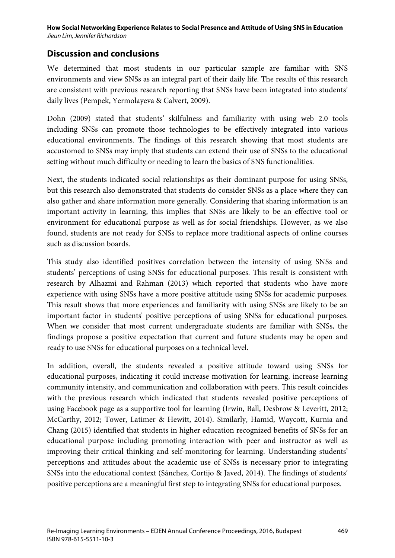## **Discussion and conclusions**

We determined that most students in our particular sample are familiar with SNS environments and view SNSs as an integral part of their daily life. The results of this research are consistent with previous research reporting that SNSs have been integrated into students' daily lives (Pempek, Yermolayeva & Calvert, 2009).

Dohn (2009) stated that students' skilfulness and familiarity with using web 2.0 tools including SNSs can promote those technologies to be effectively integrated into various educational environments. The findings of this research showing that most students are accustomed to SNSs may imply that students can extend their use of SNSs to the educational setting without much difficulty or needing to learn the basics of SNS functionalities.

Next, the students indicated social relationships as their dominant purpose for using SNSs, but this research also demonstrated that students do consider SNSs as a place where they can also gather and share information more generally. Considering that sharing information is an important activity in learning, this implies that SNSs are likely to be an effective tool or environment for educational purpose as well as for social friendships. However, as we also found, students are not ready for SNSs to replace more traditional aspects of online courses such as discussion boards.

This study also identified positives correlation between the intensity of using SNSs and students' perceptions of using SNSs for educational purposes. This result is consistent with research by Alhazmi and Rahman (2013) which reported that students who have more experience with using SNSs have a more positive attitude using SNSs for academic purposes. This result shows that more experiences and familiarity with using SNSs are likely to be an important factor in students' positive perceptions of using SNSs for educational purposes. When we consider that most current undergraduate students are familiar with SNSs, the findings propose a positive expectation that current and future students may be open and ready to use SNSs for educational purposes on a technical level.

In addition, overall, the students revealed a positive attitude toward using SNSs for educational purposes, indicating it could increase motivation for learning, increase learning community intensity, and communication and collaboration with peers. This result coincides with the previous research which indicated that students revealed positive perceptions of using Facebook page as a supportive tool for learning (Irwin, Ball, Desbrow & Leveritt, 2012; McCarthy, 2012; Tower, Latimer & Hewitt, 2014). Similarly, Hamid, Waycott, Kurnia and Chang (2015) identified that students in higher education recognized benefits of SNSs for an educational purpose including promoting interaction with peer and instructor as well as improving their critical thinking and self-monitoring for learning. Understanding students' perceptions and attitudes about the academic use of SNSs is necessary prior to integrating SNSs into the educational context (Sánchez, Cortijo & Javed, 2014). The findings of students' positive perceptions are a meaningful first step to integrating SNSs for educational purposes.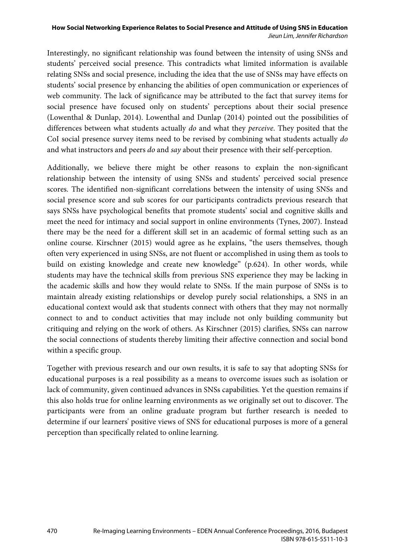Interestingly, no significant relationship was found between the intensity of using SNSs and students' perceived social presence. This contradicts what limited information is available relating SNSs and social presence, including the idea that the use of SNSs may have effects on students' social presence by enhancing the abilities of open communication or experiences of web community. The lack of significance may be attributed to the fact that survey items for social presence have focused only on students' perceptions about their social presence (Lowenthal & Dunlap, 2014). Lowenthal and Dunlap (2014) pointed out the possibilities of differences between what students actually *do* and what they *perceive*. They posited that the CoI social presence survey items need to be revised by combining what students actually *do* and what instructors and peers *do* and *say* about their presence with their self-perception.

Additionally, we believe there might be other reasons to explain the non-significant relationship between the intensity of using SNSs and students' perceived social presence scores. The identified non-significant correlations between the intensity of using SNSs and social presence score and sub scores for our participants contradicts previous research that says SNSs have psychological benefits that promote students' social and cognitive skills and meet the need for intimacy and social support in online environments (Tynes, 2007). Instead there may be the need for a different skill set in an academic of formal setting such as an online course. Kirschner (2015) would agree as he explains, "the users themselves, though often very experienced in using SNSs, are not fluent or accomplished in using them as tools to build on existing knowledge and create new knowledge" (p.624). In other words, while students may have the technical skills from previous SNS experience they may be lacking in the academic skills and how they would relate to SNSs. If the main purpose of SNSs is to maintain already existing relationships or develop purely social relationships, a SNS in an educational context would ask that students connect with others that they may not normally connect to and to conduct activities that may include not only building community but critiquing and relying on the work of others. As Kirschner (2015) clarifies, SNSs can narrow the social connections of students thereby limiting their affective connection and social bond within a specific group.

Together with previous research and our own results, it is safe to say that adopting SNSs for educational purposes is a real possibility as a means to overcome issues such as isolation or lack of community, given continued advances in SNSs capabilities. Yet the question remains if this also holds true for online learning environments as we originally set out to discover. The participants were from an online graduate program but further research is needed to determine if our learners' positive views of SNS for educational purposes is more of a general perception than specifically related to online learning.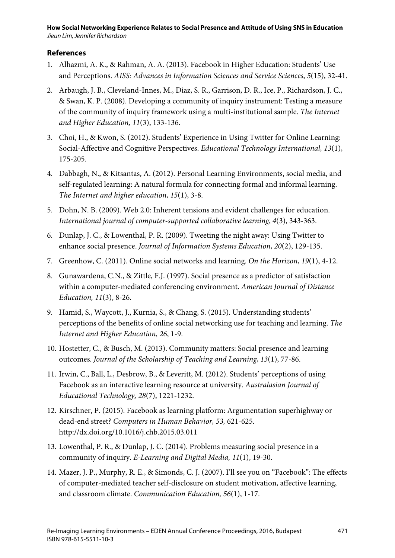#### **References**

- 1. Alhazmi, A. K., & Rahman, A. A. (2013). Facebook in Higher Education: Students' Use and Perceptions. *AISS: Advances in Information Sciences and Service Sciences*, *5*(15), 32-41.
- 2. Arbaugh, J. B., Cleveland-Innes, M., Diaz, S. R., Garrison, D. R., Ice, P., Richardson, J. C., & Swan, K. P. (2008). Developing a community of inquiry instrument: Testing a measure of the community of inquiry framework using a multi-institutional sample. *The Internet and Higher Education, 11*(3), 133-136.
- 3. Choi, H., & Kwon, S. (2012). Students' Experience in Using Twitter for Online Learning: Social-Affective and Cognitive Perspectives. *Educational Technology International, 13*(1), 175-205.
- 4. Dabbagh, N., & Kitsantas, A. (2012). Personal Learning Environments, social media, and self-regulated learning: A natural formula for connecting formal and informal learning. *The Internet and higher education*, *15*(1), 3-8.
- 5. Dohn, N. B. (2009). Web 2.0: Inherent tensions and evident challenges for education. *International journal of computer-supported collaborative learning*, *4*(3), 343-363.
- 6. Dunlap, J. C., & Lowenthal, P. R. (2009). Tweeting the night away: Using Twitter to enhance social presence. *Journal of Information Systems Education*, *20*(2), 129-135.
- 7. Greenhow, C. (2011). Online social networks and learning. *On the Horizon*, *19*(1), 4-12.
- 8. Gunawardena, C.N., & Zittle, F.J. (1997). Social presence as a predictor of satisfaction within a computer-mediated conferencing environment. *American Journal of Distance Education, 11*(3), 8-26.
- 9. Hamid, S., Waycott, J., Kurnia, S., & Chang, S. (2015). Understanding students' perceptions of the benefits of online social networking use for teaching and learning. *The Internet and Higher Education*, *26*, 1-9.
- 10. Hostetter, C., & Busch, M. (2013). Community matters: Social presence and learning outcomes. *Journal of the Scholarship of Teaching and Learning*, *13*(1), 77-86.
- 11. Irwin, C., Ball, L., Desbrow, B., & Leveritt, M. (2012). Students' perceptions of using Facebook as an interactive learning resource at university. *Australasian Journal of Educational Technology, 28*(7), 1221-1232.
- 12. Kirschner, P. (2015). Facebook as learning platform: Argumentation superhighway or dead-end street? *Computers in Human Behavior, 53,* 621-625. http://dx.doi.org/10.1016/j.chb.2015.03.011
- 13. Lowenthal, P. R., & Dunlap, J. C. (2014). Problems measuring social presence in a community of inquiry. *E-Learning and Digital Media, 11*(1), 19-30.
- 14. Mazer, J. P., Murphy, R. E., & Simonds, C. J. (2007). I'll see you on "Facebook": The effects of computer-mediated teacher self-disclosure on student motivation, affective learning, and classroom climate. *Communication Education, 56*(1), 1-17.